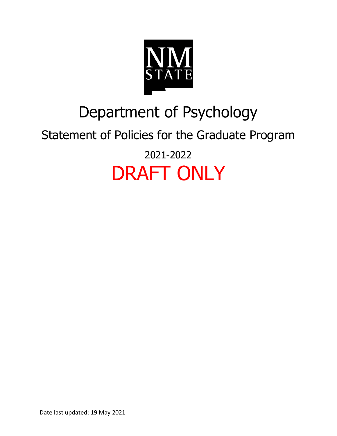

## Department of Psychology

### Statement of Policies for the Graduate Program 2021-2022

# DRAFT ONLY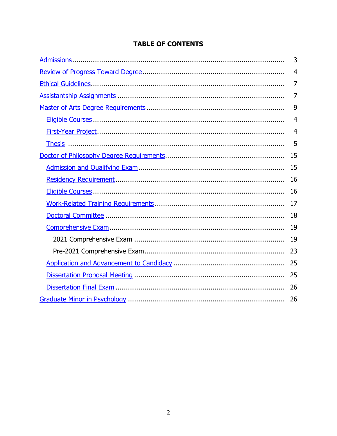#### **TABLE OF CONTENTS**

| 3              |
|----------------|
| $\overline{4}$ |
| 7              |
| 7              |
| 9              |
| $\overline{4}$ |
| $\overline{4}$ |
| 5              |
| 15             |
| 15             |
| 16             |
| 16             |
| 17             |
| 18             |
| 19             |
| 19             |
| 23             |
| 25             |
| 25             |
| 26             |
| 26             |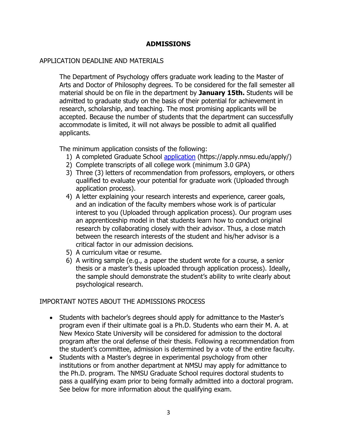#### **ADMISSIONS**

#### <span id="page-2-0"></span>APPLICATION DEADLINE AND MATERIALS

The Department of Psychology offers graduate work leading to the Master of Arts and Doctor of Philosophy degrees. To be considered for the fall semester all material should be on file in the department by **January 15th.** Students will be admitted to graduate study on the basis of their potential for achievement in research, scholarship, and teaching. The most promising applicants will be accepted. Because the number of students that the department can successfully accommodate is limited, it will not always be possible to admit all qualified applicants.

The minimum application consists of the following:

- 1) A completed Graduate School [application](https://apply.nmsu.edu/apply/) (https://apply.nmsu.edu/apply/)
- 2) Complete transcripts of all college work (minimum 3.0 GPA)
- 3) Three (3) letters of recommendation from professors, employers, or others qualified to evaluate your potential for graduate work (Uploaded through application process).
- 4) A letter explaining your research interests and experience, career goals, and an indication of the faculty members whose work is of particular interest to you (Uploaded through application process). Our program uses an apprenticeship model in that students learn how to conduct original research by collaborating closely with their advisor. Thus, a close match between the research interests of the student and his/her advisor is a critical factor in our admission decisions.
- 5) A curriculum vitae or resume.
- 6) A writing sample (e.g., a paper the student wrote for a course, a senior thesis or a master's thesis uploaded through application process). Ideally, the sample should demonstrate the student's ability to write clearly about psychological research.

#### IMPORTANT NOTES ABOUT THE ADMISSIONS PROCESS

- Students with bachelor's degrees should apply for admittance to the Master's program even if their ultimate goal is a Ph.D. Students who earn their M. A. at New Mexico State University will be considered for admission to the doctoral program after the oral defense of their thesis. Following a recommendation from the student's committee, admission is determined by a vote of the entire faculty.
- Students with a Master's degree in experimental psychology from other institutions or from another department at NMSU may apply for admittance to the Ph.D. program. The NMSU Graduate School requires doctoral students to pass a qualifying exam prior to being formally admitted into a doctoral program. See below for more information about the qualifying exam.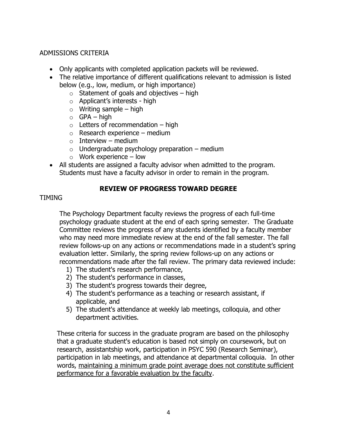#### ADMISSIONS CRITERIA

- Only applicants with completed application packets will be reviewed.
- The relative importance of different qualifications relevant to admission is listed below (e.g., low, medium, or high importance)
	- $\circ$  Statement of goals and objectives high
	- o Applicant's interests high
	- $\circ$  Writing sample high
	- $\circ$  GPA high
	- $\circ$  Letters of recommendation high
	- $\circ$  Research experience medium
	- $\circ$  Interview medium
	- $\circ$  Undergraduate psychology preparation medium
	- $\circ$  Work experience low
- All students are assigned a faculty advisor when admitted to the program. Students must have a faculty advisor in order to remain in the program.

#### **REVIEW OF PROGRESS TOWARD DEGREE**

#### <span id="page-3-0"></span>TIMING

The Psychology Department faculty reviews the progress of each full-time psychology graduate student at the end of each spring semester. The Graduate Committee reviews the progress of any students identified by a faculty member who may need more immediate review at the end of the fall semester. The fall review follows-up on any actions or recommendations made in a student's spring evaluation letter. Similarly, the spring review follows-up on any actions or recommendations made after the fall review. The primary data reviewed include:

- 1) The student's research performance,
- 2) The student's performance in classes,
- 3) The student's progress towards their degree,
- 4) The student's performance as a teaching or research assistant, if applicable, and
- 5) The student's attendance at weekly lab meetings, colloquia, and other department activities.

These criteria for success in the graduate program are based on the philosophy that a graduate student's education is based not simply on coursework, but on research, assistantship work, participation in PSYC 590 (Research Seminar), participation in lab meetings, and attendance at departmental colloquia. In other words, maintaining a minimum grade point average does not constitute sufficient performance for a favorable evaluation by the faculty.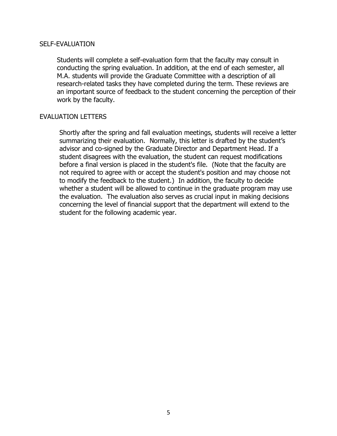#### SELF-EVALUATION

Students will complete a self-evaluation form that the faculty may consult in conducting the spring evaluation. In addition, at the end of each semester, all M.A. students will provide the Graduate Committee with a description of all research-related tasks they have completed during the term. These reviews are an important source of feedback to the student concerning the perception of their work by the faculty.

#### EVALUATION LETTERS

Shortly after the spring and fall evaluation meetings, students will receive a letter summarizing their evaluation. Normally, this letter is drafted by the student's advisor and co-signed by the Graduate Director and Department Head. If a student disagrees with the evaluation, the student can request modifications before a final version is placed in the student's file. (Note that the faculty are not required to agree with or accept the student's position and may choose not to modify the feedback to the student.) In addition, the faculty to decide whether a student will be allowed to continue in the graduate program may use the evaluation. The evaluation also serves as crucial input in making decisions concerning the level of financial support that the department will extend to the student for the following academic year.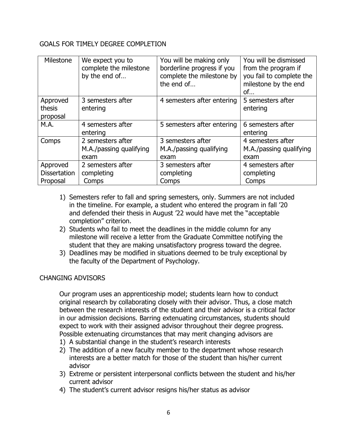#### GOALS FOR TIMELY DEGREE COMPLETION

| Milestone                                   | We expect you to<br>complete the milestone<br>by the end of | You will be making only<br>borderline progress if you<br>complete the milestone by<br>the end of | You will be dismissed<br>from the program if<br>you fail to complete the<br>milestone by the end<br>of |
|---------------------------------------------|-------------------------------------------------------------|--------------------------------------------------------------------------------------------------|--------------------------------------------------------------------------------------------------------|
| Approved<br>thesis<br>proposal              | 3 semesters after<br>entering                               | 4 semesters after entering                                                                       | 5 semesters after<br>entering                                                                          |
| M.A.                                        | 4 semesters after<br>entering                               | 5 semesters after entering                                                                       | 6 semesters after<br>entering                                                                          |
| Comps                                       | 2 semesters after<br>M.A./passing qualifying<br>exam        | 3 semesters after<br>M.A./passing qualifying<br>exam                                             | 4 semesters after<br>M.A./passing qualifying<br>exam                                                   |
| Approved<br><b>Dissertation</b><br>Proposal | 2 semesters after<br>completing<br>Comps                    | 3 semesters after<br>completing<br>Comps                                                         | 4 semesters after<br>completing<br>Comps                                                               |

- 1) Semesters refer to fall and spring semesters, only. Summers are not included in the timeline. For example, a student who entered the program in fall '20 and defended their thesis in August '22 would have met the "acceptable completion" criterion.
- 2) Students who fail to meet the deadlines in the middle column for any milestone will receive a letter from the Graduate Committee notifying the student that they are making unsatisfactory progress toward the degree.
- 3) Deadlines may be modified in situations deemed to be truly exceptional by the faculty of the Department of Psychology.

#### CHANGING ADVISORS

Our program uses an apprenticeship model; students learn how to conduct original research by collaborating closely with their advisor. Thus, a close match between the research interests of the student and their advisor is a critical factor in our admission decisions. Barring extenuating circumstances, students should expect to work with their assigned advisor throughout their degree progress. Possible extenuating circumstances that may merit changing advisors are

- 1) A substantial change in the student's research interests
- 2) The addition of a new faculty member to the department whose research interests are a better match for those of the student than his/her current advisor
- 3) Extreme or persistent interpersonal conflicts between the student and his/her current advisor
- 4) The student's current advisor resigns his/her status as advisor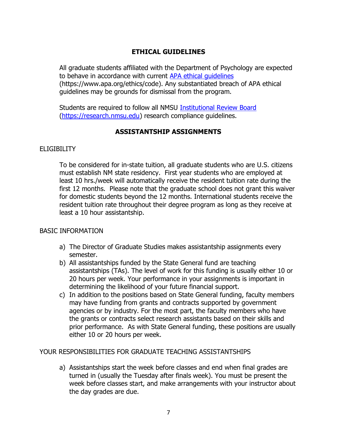#### **ETHICAL GUIDELINES**

<span id="page-6-0"></span>All graduate students affiliated with the Department of Psychology are expected to behave in accordance with current [APA ethical guidelines](https://www.apa.org/ethics/code) (https://www.apa.org/ethics/code). Any substantiated breach of APA ethical guidelines may be grounds for dismissal from the program.

Students are required to follow all NMSU [Institutional Review Board](https://research.nmsu.edu/compliance_and_ethics/subpages/IRB1/IRB.html) [\(https://research.nmsu.edu\)](https://research.nmsu.edu/) research compliance guidelines.

#### **ASSISTANTSHIP ASSIGNMENTS**

#### <span id="page-6-1"></span>**ELIGIBILITY**

To be considered for in-state tuition, all graduate students who are U.S. citizens must establish NM state residency. First year students who are employed at least 10 hrs./week will automatically receive the resident tuition rate during the first 12 months. Please note that the graduate school does not grant this waiver for domestic students beyond the 12 months. International students receive the resident tuition rate throughout their degree program as long as they receive at least a 10 hour assistantship.

#### BASIC INFORMATION

- a) The Director of Graduate Studies makes assistantship assignments every semester.
- b) All assistantships funded by the State General fund are teaching assistantships (TAs). The level of work for this funding is usually either 10 or 20 hours per week. Your performance in your assignments is important in determining the likelihood of your future financial support.
- c) In addition to the positions based on State General funding, faculty members may have funding from grants and contracts supported by government agencies or by industry. For the most part, the faculty members who have the grants or contracts select research assistants based on their skills and prior performance. As with State General funding, these positions are usually either 10 or 20 hours per week.

#### YOUR RESPONSIBILITIES FOR GRADUATE TEACHING ASSISTANTSHIPS

a) Assistantships start the week before classes and end when final grades are turned in (usually the Tuesday after finals week). You must be present the week before classes start, and make arrangements with your instructor about the day grades are due.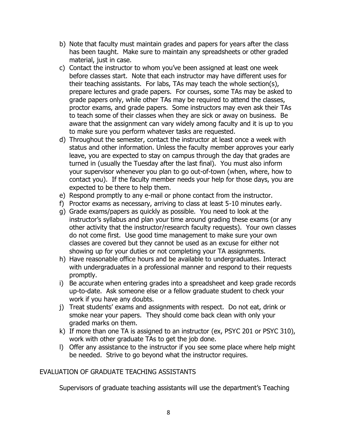- b) Note that faculty must maintain grades and papers for years after the class has been taught. Make sure to maintain any spreadsheets or other graded material, just in case.
- c) Contact the instructor to whom you've been assigned at least one week before classes start. Note that each instructor may have different uses for their teaching assistants. For labs, TAs may teach the whole section(s), prepare lectures and grade papers. For courses, some TAs may be asked to grade papers only, while other TAs may be required to attend the classes, proctor exams, and grade papers. Some instructors may even ask their TAs to teach some of their classes when they are sick or away on business. Be aware that the assignment can vary widely among faculty and it is up to you to make sure you perform whatever tasks are requested.
- d) Throughout the semester, contact the instructor at least once a week with status and other information. Unless the faculty member approves your early leave, you are expected to stay on campus through the day that grades are turned in (usually the Tuesday after the last final). You must also inform your supervisor whenever you plan to go out-of-town (when, where, how to contact you). If the faculty member needs your help for those days, you are expected to be there to help them.
- e) Respond promptly to any e-mail or phone contact from the instructor.
- f) Proctor exams as necessary, arriving to class at least 5-10 minutes early.
- g) Grade exams/papers as quickly as possible. You need to look at the instructor's syllabus and plan your time around grading these exams (or any other activity that the instructor/research faculty requests). Your own classes do not come first. Use good time management to make sure your own classes are covered but they cannot be used as an excuse for either not showing up for your duties or not completing your TA assignments.
- h) Have reasonable office hours and be available to undergraduates. Interact with undergraduates in a professional manner and respond to their requests promptly.
- i) Be accurate when entering grades into a spreadsheet and keep grade records up-to-date. Ask someone else or a fellow graduate student to check your work if you have any doubts.
- j) Treat students' exams and assignments with respect. Do not eat, drink or smoke near your papers. They should come back clean with only your graded marks on them.
- k) If more than one TA is assigned to an instructor (ex, PSYC 201 or PSYC 310), work with other graduate TAs to get the job done.
- l) Offer any assistance to the instructor if you see some place where help might be needed. Strive to go beyond what the instructor requires.

#### EVALUATION OF GRADUATE TEACHING ASSISTANTS

Supervisors of graduate teaching assistants will use the department's Teaching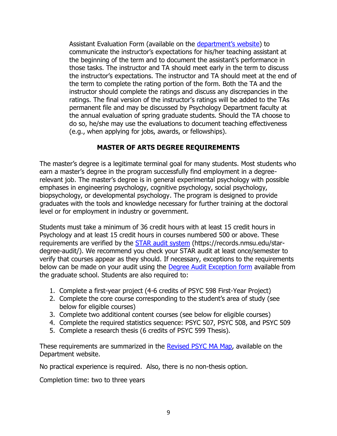Assistant Evaluation Form (available on the [department's website](https://psychology.nmsu.edu/pages/faculty-resources.html)) to communicate the instructor's expectations for his/her teaching assistant at the beginning of the term and to document the assistant's performance in those tasks. The instructor and TA should meet early in the term to discuss the instructor's expectations. The instructor and TA should meet at the end of the term to complete the rating portion of the form. Both the TA and the instructor should complete the ratings and discuss any discrepancies in the ratings. The final version of the instructor's ratings will be added to the TAs permanent file and may be discussed by Psychology Department faculty at the annual evaluation of spring graduate students. Should the TA choose to do so, he/she may use the evaluations to document teaching effectiveness (e.g., when applying for jobs, awards, or fellowships).

#### **MASTER OF ARTS DEGREE REQUIREMENTS**

<span id="page-8-0"></span>The master's degree is a legitimate terminal goal for many students. Most students who earn a master's degree in the program successfully find employment in a degreerelevant job. The master's degree is in general experimental psychology with possible emphases in engineering psychology, cognitive psychology, social psychology, biopsychology, or developmental psychology. The program is designed to provide graduates with the tools and knowledge necessary for further training at the doctoral level or for employment in industry or government.

Students must take a minimum of 36 credit hours with at least 15 credit hours in Psychology and at least 15 credit hours in courses numbered 500 or above. These requirements are verified by the [STAR audit system](https://records.nmsu.edu/star-degree-audit/) (https://records.nmsu.edu/stardegree-audit/). We recommend you check your STAR audit at least once/semester to verify that courses appear as they should. If necessary, exceptions to the requirements below can be made on your audit using the Degree [Audit Exception form](https://gradschool.nmsu.edu/Current%20Students/degree_audit_exception_form.pdf) available from the graduate school. Students are also required to:

- 1. Complete a first-year project (4-6 credits of PSYC 598 First-Year Project)
- 2. Complete the core course corresponding to the student's area of study (see below for eligible courses)
- 3. Complete two additional content courses (see below for eligible courses)
- 4. Complete the required statistics sequence: PSYC 507, PSYC 508, and PSYC 509
- 5. Complete a research thesis (6 credits of PSYC 599 Thesis).

These requirements are summarized in the **Revised PSYC MA Map**, available on the Department website.

No practical experience is required. Also, there is no non-thesis option.

Completion time: two to three years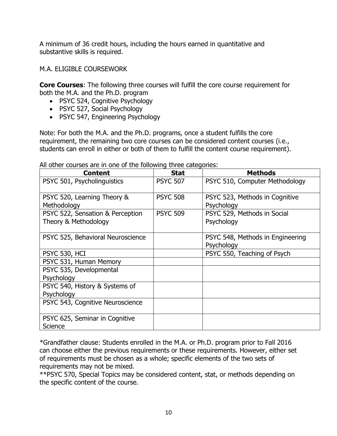A minimum of 36 credit hours, including the hours earned in quantitative and substantive skills is required.

<span id="page-9-0"></span>M.A. ELIGIBLE COURSEWORK

**Core Courses**: The following three courses will fulfill the core course requirement for both the M.A. and the Ph.D. program

- PSYC 524, Cognitive Psychology
- PSYC 527, Social Psychology
- PSYC 547, Engineering Psychology

Note: For both the M.A. and the Ph.D. programs, once a student fulfills the core requirement, the remaining two core courses can be considered content courses (i.e., students can enroll in either or both of them to fulfill the content course requirement).

| <b>Content</b>                            | <b>Stat</b>     | <b>Methods</b>                   |
|-------------------------------------------|-----------------|----------------------------------|
| PSYC 501, Psycholinguistics               | <b>PSYC 507</b> | PSYC 510, Computer Methodology   |
| PSYC 520, Learning Theory &               | <b>PSYC 508</b> | PSYC 523, Methods in Cognitive   |
| Methodology                               |                 | Psychology                       |
| PSYC 522, Sensation & Perception          | <b>PSYC 509</b> | PSYC 529, Methods in Social      |
| Theory & Methodology                      |                 | Psychology                       |
| PSYC 525, Behavioral Neuroscience         |                 | PSYC 548, Methods in Engineering |
|                                           |                 | Psychology                       |
| PSYC 530, HCI                             |                 | PSYC 550, Teaching of Psych      |
| PSYC 531, Human Memory                    |                 |                                  |
| PSYC 535, Developmental                   |                 |                                  |
| Psychology                                |                 |                                  |
| PSYC 540, History & Systems of            |                 |                                  |
| Psychology                                |                 |                                  |
| PSYC 543, Cognitive Neuroscience          |                 |                                  |
| PSYC 625, Seminar in Cognitive<br>Science |                 |                                  |

All other courses are in one of the following three categories:

\*Grandfather clause: Students enrolled in the M.A. or Ph.D. program prior to Fall 2016 can choose either the previous requirements or these requirements. However, either set of requirements must be chosen as a whole; specific elements of the two sets of requirements may not be mixed.

\*\*PSYC 570, Special Topics may be considered content, stat, or methods depending on the specific content of the course.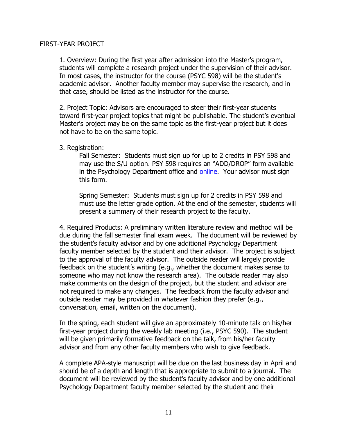#### <span id="page-10-0"></span>FIRST-YEAR PROJECT

1. Overview: During the first year after admission into the Master's program, students will complete a research project under the supervision of their advisor. In most cases, the instructor for the course (PSYC 598) will be the student's academic advisor. Another faculty member may supervise the research, and in that case, should be listed as the instructor for the course.

2. Project Topic: Advisors are encouraged to steer their first-year students toward first-year project topics that might be publishable. The student's eventual Master's project may be on the same topic as the first-year project but it does not have to be on the same topic.

#### 3. Registration:

Fall Semester: Students must sign up for up to 2 credits in PSY 598 and may use the S/U option. PSY 598 requires an "ADD/DROP" form available in the Psychology Department office and [online.](https://psychology.nmsu.edu/pages/student-resources.html) Your advisor must sign this form.

Spring Semester: Students must sign up for 2 credits in PSY 598 and must use the letter grade option. At the end of the semester, students will present a summary of their research project to the faculty.

4. Required Products: A preliminary written literature review and method will be due during the fall semester final exam week. The document will be reviewed by the student's faculty advisor and by one additional Psychology Department faculty member selected by the student and their advisor. The project is subject to the approval of the faculty advisor. The outside reader will largely provide feedback on the student's writing (e.g., whether the document makes sense to someone who may not know the research area). The outside reader may also make comments on the design of the project, but the student and advisor are not required to make any changes. The feedback from the faculty advisor and outside reader may be provided in whatever fashion they prefer (e.g., conversation, email, written on the document).

In the spring, each student will give an approximately 10-minute talk on his/her first-year project during the weekly lab meeting (i.e., PSYC 590). The student will be given primarily formative feedback on the talk, from his/her faculty advisor and from any other faculty members who wish to give feedback.

A complete APA-style manuscript will be due on the last business day in April and should be of a depth and length that is appropriate to submit to a journal. The document will be reviewed by the student's faculty advisor and by one additional Psychology Department faculty member selected by the student and their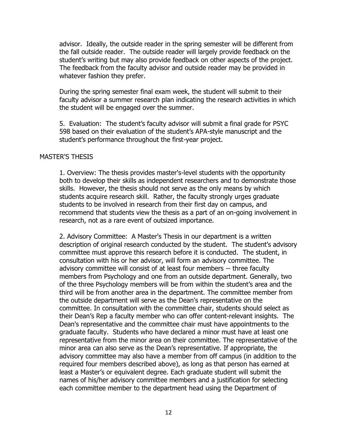advisor. Ideally, the outside reader in the spring semester will be different from the fall outside reader. The outside reader will largely provide feedback on the student's writing but may also provide feedback on other aspects of the project. The feedback from the faculty advisor and outside reader may be provided in whatever fashion they prefer.

During the spring semester final exam week, the student will submit to their faculty advisor a summer research plan indicating the research activities in which the student will be engaged over the summer.

5. Evaluation: The student's faculty advisor will submit a final grade for PSYC 598 based on their evaluation of the student's APA-style manuscript and the student's performance throughout the first-year project.

#### <span id="page-11-0"></span>MASTER'S THESIS

1. Overview: The thesis provides master's-level students with the opportunity both to develop their skills as independent researchers and to demonstrate those skills. However, the thesis should not serve as the only means by which students acquire research skill. Rather, the faculty strongly urges graduate students to be involved in research from their first day on campus, and recommend that students view the thesis as a part of an on-going involvement in research, not as a rare event of outsized importance.

2. Advisory Committee: A Master's Thesis in our department is a written description of original research conducted by the student. The student's advisory committee must approve this research before it is conducted. The student, in consultation with his or her advisor, will form an advisory committee. The advisory committee will consist of at least four members -- three faculty members from Psychology and one from an outside department. Generally, two of the three Psychology members will be from within the student's area and the third will be from another area in the department. The committee member from the outside department will serve as the Dean's representative on the committee. In consultation with the committee chair, students should select as their Dean's Rep a faculty member who can offer content-relevant insights. The Dean's representative and the committee chair must have appointments to the graduate faculty. Students who have declared a minor must have at least one representative from the minor area on their committee. The representative of the minor area can also serve as the Dean's representative. If appropriate, the advisory committee may also have a member from off campus (in addition to the required four members described above), as long as that person has earned at least a Master's or equivalent degree. Each graduate student will submit the names of his/her advisory committee members and a justification for selecting each committee member to the department head using the Department of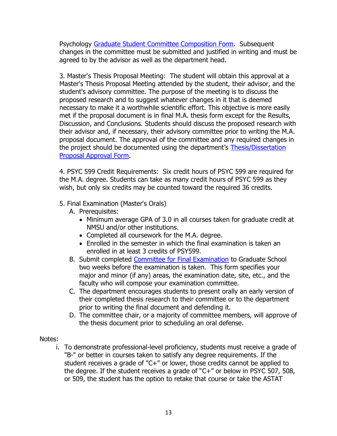Psychology [Graduate Student Committee Composition Form.](https://psychology.nmsu.edu/pages/student-resources.html) Subsequent changes in the committee must be submitted and justified in writing and must be agreed to by the advisor as well as the department head.

3. Master's Thesis Proposal Meeting: The student will obtain this approval at a Master's Thesis Proposal Meeting attended by the student, their advisor, and the student's advisory committee. The purpose of the meeting is to discuss the proposed research and to suggest whatever changes in it that is deemed necessary to make it a worthwhile scientific effort. This objective is more easily met if the proposal document is in final M.A. thesis form except for the Results, Discussion, and Conclusions. Students should discuss the proposed research with their advisor and, if necessary, their advisory committee prior to writing the M.A. proposal document. The approval of the committee and any required changes in the project should be documented using the department's [Thesis/Dissertation](https://psychology.nmsu.edu/pages/student-resources.html)  [Proposal Approval Form.](https://psychology.nmsu.edu/pages/student-resources.html)

4. PSYC 599 Credit Requirements: Six credit hours of PSYC 599 are required for the M.A. degree. Students can take as many credit hours of PSYC 599 as they wish, but only six credits may be counted toward the required 36 credits.

#### 5. Final Examination (Master's Orals)

- A. Prerequisites:
	- Minimum average GPA of 3.0 in all courses taken for graduate credit at NMSU and/or other institutions.
	- Completed all coursework for the M.A. degree.
	- Enrolled in the semester in which the final examination is taken an enrolled in at least 3 credits of PSY599.
- B. Submit completed [Committee for Final Examination](https://gradschool.nmsu.edu/Current%20Students/masters_final_examination_form.pdf) to Graduate School two weeks before the examination is taken. This form specifies your major and minor (if any) areas, the examination date, site, etc., and the faculty who will compose your examination committee.
- C. The department encourages students to present orally an early version of their completed thesis research to their committee or to the department prior to writing the final document and defending it.
- D. The committee chair, or a majority of committee members, will approve of the thesis document prior to scheduling an oral defense.

#### Notes:

i. To demonstrate professional-level proficiency, students must receive a grade of "B-" or better in courses taken to satisfy any degree requirements. If the student receives a grade of "C+" or lower, those credits cannot be applied to the degree. If the student receives a grade of "C+" or below in PSYC 507, 508, or 509, the student has the option to retake that course or take the ASTAT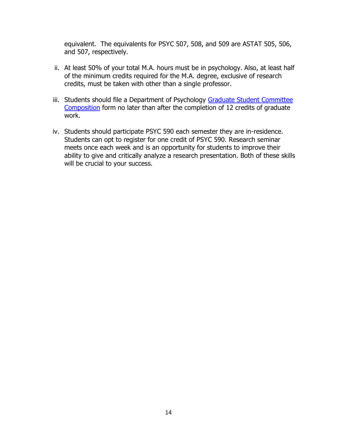equivalent. The equivalents for PSYC 507, 508, and 509 are ASTAT 505, 506, and 507, respectively.

- ii. At least 50% of your total M.A. hours must be in psychology. Also, at least half of the minimum credits required for the M.A. degree, exclusive of research credits, must be taken with other than a single professor.
- iii. Students should file a Department of Psychology Graduate Student Committee [Composition](https://psychology.nmsu.edu/_files/documents/Committee-Form-Revised-3.pdf) form no later than after the completion of 12 credits of graduate work.
- <span id="page-13-0"></span>iv. Students should participate PSYC 590 each semester they are in-residence. Students can opt to register for one credit of PSYC 590. Research seminar meets once each week and is an opportunity for students to improve their ability to give and critically analyze a research presentation. Both of these skills will be crucial to your success.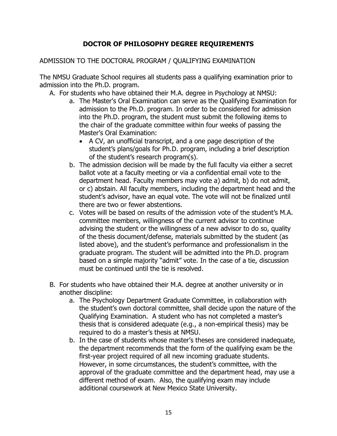#### **DOCTOR OF PHILOSOPHY DEGREE REQUIREMENTS**

#### <span id="page-14-0"></span>ADMISSION TO THE DOCTORAL PROGRAM / QUALIFYING EXAMINATION

The NMSU Graduate School requires all students pass a qualifying examination prior to admission into the Ph.D. program.

- A. For students who have obtained their M.A. degree in Psychology at NMSU:
	- a. The Master's Oral Examination can serve as the Qualifying Examination for admission to the Ph.D. program. In order to be considered for admission into the Ph.D. program, the student must submit the following items to the chair of the graduate committee within four weeks of passing the Master's Oral Examination:
		- A CV, an unofficial transcript, and a one page description of the student's plans/goals for Ph.D. program, including a brief description of the student's research program(s).
	- b. The admission decision will be made by the full faculty via either a secret ballot vote at a faculty meeting or via a confidential email vote to the department head. Faculty members may vote a) admit, b) do not admit, or c) abstain. All faculty members, including the department head and the student's advisor, have an equal vote. The vote will not be finalized until there are two or fewer abstentions.
	- c. Votes will be based on results of the admission vote of the student's M.A. committee members, willingness of the current advisor to continue advising the student or the willingness of a new advisor to do so, quality of the thesis document/defense, materials submitted by the student (as listed above), and the student's performance and professionalism in the graduate program. The student will be admitted into the Ph.D. program based on a simple majority "admit" vote. In the case of a tie, discussion must be continued until the tie is resolved.
- B. For students who have obtained their M.A. degree at another university or in another discipline:
	- a. The Psychology Department Graduate Committee, in collaboration with the student's own doctoral committee, shall decide upon the nature of the Qualifying Examination. A student who has not completed a master's thesis that is considered adequate (e.g., a non-empirical thesis) may be required to do a master's thesis at NMSU.
	- b. In the case of students whose master's theses are considered inadequate, the department recommends that the form of the qualifying exam be the first-year project required of all new incoming graduate students. However, in some circumstances, the student's committee, with the approval of the graduate committee and the department head, may use a different method of exam. Also, the qualifying exam may include additional coursework at New Mexico State University.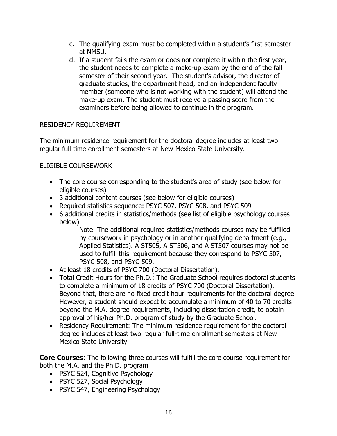- c. The qualifying exam must be completed within a student's first semester at NMSU.
- d. If a student fails the exam or does not complete it within the first year, the student needs to complete a make-up exam by the end of the fall semester of their second year. The student's advisor, the director of graduate studies, the department head, and an independent faculty member (someone who is not working with the student) will attend the make-up exam. The student must receive a passing score from the examiners before being allowed to continue in the program.

#### <span id="page-15-0"></span>RESIDENCY REQUIREMENT

The minimum residence requirement for the doctoral degree includes at least two regular full-time enrollment semesters at New Mexico State University.

#### <span id="page-15-1"></span>ELIGIBLE COURSEWORK

- The core course corresponding to the student's area of study (see below for eligible courses)
- 3 additional content courses (see below for eligible courses)
- Required statistics sequence: PSYC 507, PSYC 508, and PSYC 509
- 6 additional credits in statistics/methods (see list of eligible psychology courses below).

Note: The additional required statistics/methods courses may be fulfilled by coursework in psychology or in another qualifying department (e.g., Applied Statistics). A ST505, A ST506, and A ST507 courses may not be used to fulfill this requirement because they correspond to PSYC 507, PSYC 508, and PSYC 509.

- At least 18 credits of PSYC 700 (Doctoral Dissertation).
- Total Credit Hours for the Ph.D.: The Graduate School requires doctoral students to complete a minimum of 18 credits of PSYC 700 (Doctoral Dissertation). Beyond that, there are no fixed credit hour requirements for the doctoral degree. However, a student should expect to accumulate a minimum of 40 to 70 credits beyond the M.A. degree requirements, including dissertation credit, to obtain approval of his/her Ph.D. program of study by the Graduate School.
- Residency Requirement: The minimum residence requirement for the doctoral degree includes at least two regular full-time enrollment semesters at New Mexico State University.

**Core Courses**: The following three courses will fulfill the core course requirement for both the M.A. and the Ph.D. program

- PSYC 524, Cognitive Psychology
- PSYC 527, Social Psychology
- PSYC 547, Engineering Psychology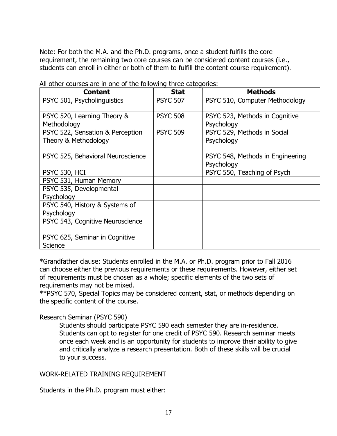Note: For both the M.A. and the Ph.D. programs, once a student fulfills the core requirement, the remaining two core courses can be considered content courses (i.e., students can enroll in either or both of them to fulfill the content course requirement).

| <b>Content</b>                                           | <b>Stat</b>     | <b>Methods</b>                                 |
|----------------------------------------------------------|-----------------|------------------------------------------------|
| PSYC 501, Psycholinguistics                              | <b>PSYC 507</b> | PSYC 510, Computer Methodology                 |
| PSYC 520, Learning Theory &<br>Methodology               | <b>PSYC 508</b> | PSYC 523, Methods in Cognitive<br>Psychology   |
| PSYC 522, Sensation & Perception<br>Theory & Methodology | <b>PSYC 509</b> | PSYC 529, Methods in Social<br>Psychology      |
| PSYC 525, Behavioral Neuroscience                        |                 | PSYC 548, Methods in Engineering<br>Psychology |
| PSYC 530, HCI                                            |                 | PSYC 550, Teaching of Psych                    |
| PSYC 531, Human Memory                                   |                 |                                                |
| PSYC 535, Developmental                                  |                 |                                                |
| Psychology                                               |                 |                                                |
| PSYC 540, History & Systems of                           |                 |                                                |
| Psychology                                               |                 |                                                |
| PSYC 543, Cognitive Neuroscience                         |                 |                                                |
| PSYC 625, Seminar in Cognitive<br>Science                |                 |                                                |

All other courses are in one of the following three categories:

\*Grandfather clause: Students enrolled in the M.A. or Ph.D. program prior to Fall 2016 can choose either the previous requirements or these requirements. However, either set of requirements must be chosen as a whole; specific elements of the two sets of requirements may not be mixed.

\*\*PSYC 570, Special Topics may be considered content, stat, or methods depending on the specific content of the course.

#### Research Seminar (PSYC 590)

Students should participate PSYC 590 each semester they are in-residence. Students can opt to register for one credit of PSYC 590. Research seminar meets once each week and is an opportunity for students to improve their ability to give and critically analyze a research presentation. Both of these skills will be crucial to your success.

#### <span id="page-16-0"></span>WORK-RELATED TRAINING REQUIREMENT

Students in the Ph.D. program must either: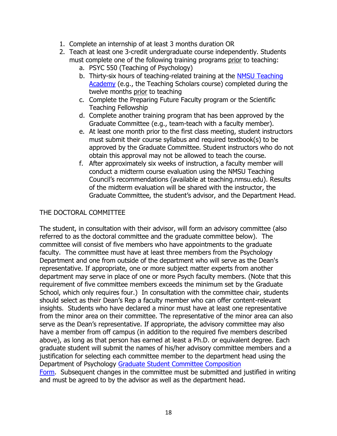- 1. Complete an internship of at least 3 months duration OR
- 2. Teach at least one 3-credit undergraduate course independently. Students must complete one of the following training programs prior to teaching:
	- a. PSYC 550 (Teaching of Psychology)
	- b. Thirty-six hours of teaching-related training at the [NMSU Teaching](https://teaching.nmsu.edu/)  [Academy](https://teaching.nmsu.edu/) (e.g., the Teaching Scholars course) completed during the twelve months prior to teaching
	- c. Complete the Preparing Future Faculty program or the Scientific Teaching Fellowship
	- d. Complete another training program that has been approved by the Graduate Committee (e.g., team-teach with a faculty member).
	- e. At least one month prior to the first class meeting, student instructors must submit their course syllabus and required textbook(s) to be approved by the Graduate Committee. Student instructors who do not obtain this approval may not be allowed to teach the course.
	- f. After approximately six weeks of instruction, a faculty member will conduct a midterm course evaluation using the NMSU Teaching Council's recommendations (available at teaching.nmsu.edu). Results of the midterm evaluation will be shared with the instructor, the Graduate Committee, the student's advisor, and the Department Head.

#### <span id="page-17-0"></span>THE DOCTORAL COMMITTEE

The student, in consultation with their advisor, will form an advisory committee (also referred to as the doctoral committee and the graduate committee below). The committee will consist of five members who have appointments to the graduate faculty. The committee must have at least three members from the Psychology Department and one from outside of the department who will serve as the Dean's representative. If appropriate, one or more subject matter experts from another department may serve in place of one or more Psych faculty members. (Note that this requirement of five committee members exceeds the minimum set by the Graduate School, which only requires four.) In consultation with the committee chair, students should select as their Dean's Rep a faculty member who can offer content-relevant insights. Students who have declared a minor must have at least one representative from the minor area on their committee. The representative of the minor area can also serve as the Dean's representative. If appropriate, the advisory committee may also have a member from off campus (in addition to the required five members described above), as long as that person has earned at least a Ph.D. or equivalent degree. Each graduate student will submit the names of his/her advisory committee members and a justification for selecting each committee member to the department head using the Department of Psychology [Graduate Student Committee Composition](https://psychology.nmsu.edu/_files/documents/Committee-Form-Revised-3.pdf)  [Form.](https://psychology.nmsu.edu/_files/documents/Committee-Form-Revised-3.pdf) Subsequent changes in the committee must be submitted and justified in writing and must be agreed to by the advisor as well as the department head.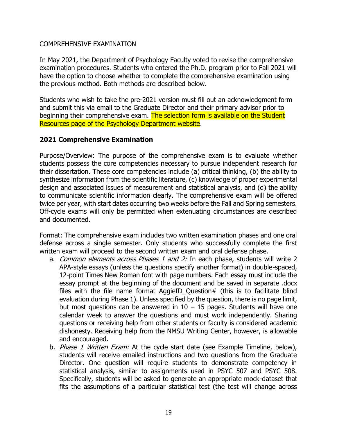#### <span id="page-18-0"></span>COMPREHENSIVE EXAMINATION

In May 2021, the Department of Psychology Faculty voted to revise the comprehensive examination procedures. Students who entered the Ph.D. program prior to Fall 2021 will have the option to choose whether to complete the comprehensive examination using the previous method. Both methods are described below.

Students who wish to take the pre-2021 version must fill out an acknowledgment form and submit this via email to the Graduate Director and their primary advisor prior to beginning their comprehensive exam. The selection form is available on the Student Resources page of the Psychology Department website.

#### **2021 Comprehensive Examination**

Purpose/Overview: The purpose of the comprehensive exam is to evaluate whether students possess the core competencies necessary to pursue independent research for their dissertation. These core competencies include (a) critical thinking, (b) the ability to synthesize information from the scientific literature, (c) knowledge of proper experimental design and associated issues of measurement and statistical analysis, and (d) the ability to communicate scientific information clearly. The comprehensive exam will be offered twice per year, with start dates occurring two weeks before the Fall and Spring semesters. Off-cycle exams will only be permitted when extenuating circumstances are described and documented.

Format: The comprehensive exam includes two written examination phases and one oral defense across a single semester. Only students who successfully complete the first written exam will proceed to the second written exam and oral defense phase.

- a. Common elements across Phases 1 and 2: In each phase, students will write 2 APA-style essays (unless the questions specify another format) in double-spaced, 12-point Times New Roman font with page numbers. Each essay must include the essay prompt at the beginning of the document and be saved in separate .docx files with the file name format AggieID Question# (this is to facilitate blind evaluation during Phase 1). Unless specified by the question, there is no page limit, but most questions can be answered in  $10 - 15$  pages. Students will have one calendar week to answer the questions and must work independently. Sharing questions or receiving help from other students or faculty is considered academic dishonesty. Receiving help from the NMSU Writing Center, however, is allowable and encouraged.
- b. *Phase 1 Written Exam:* At the cycle start date (see Example Timeline, below), students will receive emailed instructions and two questions from the Graduate Director. One question will require students to demonstrate competency in statistical analysis, similar to assignments used in PSYC 507 and PSYC 508. Specifically, students will be asked to generate an appropriate mock-dataset that fits the assumptions of a particular statistical test (the test will change across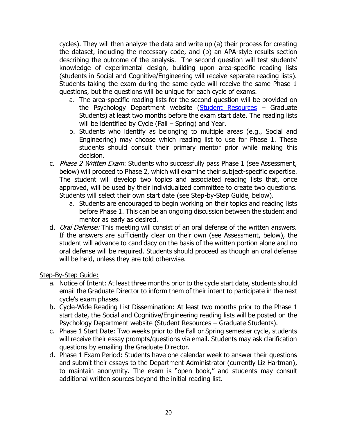cycles). They will then analyze the data and write up (a) their process for creating the dataset, including the necessary code, and (b) an APA-style results section describing the outcome of the analysis. The second question will test students' knowledge of experimental design, building upon area-specific reading lists (students in Social and Cognitive/Engineering will receive separate reading lists). Students taking the exam during the same cycle will receive the same Phase 1 questions, but the questions will be unique for each cycle of exams.

- a. The area-specific reading lists for the second question will be provided on the Psychology Department website [\(Student Resources](https://psychology.nmsu.edu/pages/student-resources.html) – Graduate Students) at least two months before the exam start date. The reading lists will be identified by Cycle (Fall – Spring) and Year.
- b. Students who identify as belonging to multiple areas (e.g., Social and Engineering) may choose which reading list to use for Phase 1. These students should consult their primary mentor prior while making this decision.
- c. Phase 2 Written Exam: Students who successfully pass Phase 1 (see Assessment, below) will proceed to Phase 2, which will examine their subject-specific expertise. The student will develop two topics and associated reading lists that, once approved, will be used by their individualized committee to create two questions. Students will select their own start date (see Step-by-Step Guide, below).
	- a. Students are encouraged to begin working on their topics and reading lists before Phase 1. This can be an ongoing discussion between the student and mentor as early as desired.
- d. *Oral Defense:* This meeting will consist of an oral defense of the written answers. If the answers are sufficiently clear on their own (see Assessment, below), the student will advance to candidacy on the basis of the written portion alone and no oral defense will be required. Students should proceed as though an oral defense will be held, unless they are told otherwise.

#### Step-By-Step Guide:

- a. Notice of Intent: At least three months prior to the cycle start date, students should email the Graduate Director to inform them of their intent to participate in the next cycle's exam phases.
- b. Cycle-Wide Reading List Dissemination: At least two months prior to the Phase 1 start date, the Social and Cognitive/Engineering reading lists will be posted on the Psychology Department website (Student Resources – Graduate Students).
- c. Phase 1 Start Date: Two weeks prior to the Fall or Spring semester cycle, students will receive their essay prompts/questions via email. Students may ask clarification questions by emailing the Graduate Director.
- d. Phase 1 Exam Period: Students have one calendar week to answer their questions and submit their essays to the Department Administrator (currently Liz Hartman), to maintain anonymity. The exam is "open book," and students may consult additional written sources beyond the initial reading list.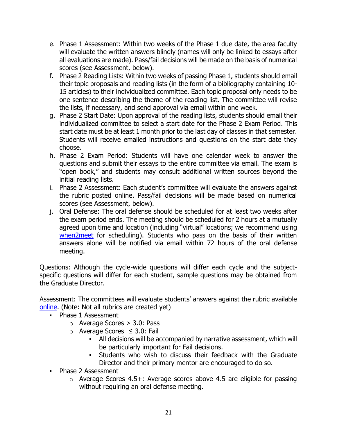- e. Phase 1 Assessment: Within two weeks of the Phase 1 due date, the area faculty will evaluate the written answers blindly (names will only be linked to essays after all evaluations are made). Pass/fail decisions will be made on the basis of numerical scores (see Assessment, below).
- f. Phase 2 Reading Lists: Within two weeks of passing Phase 1, students should email their topic proposals and reading lists (in the form of a bibliography containing 10- 15 articles) to their individualized committee. Each topic proposal only needs to be one sentence describing the theme of the reading list. The committee will revise the lists, if necessary, and send approval via email within one week.
- g. Phase 2 Start Date: Upon approval of the reading lists, students should email their individualized committee to select a start date for the Phase 2 Exam Period. This start date must be at least 1 month prior to the last day of classes in that semester. Students will receive emailed instructions and questions on the start date they choose.
- h. Phase 2 Exam Period: Students will have one calendar week to answer the questions and submit their essays to the entire committee via email. The exam is "open book," and students may consult additional written sources beyond the initial reading lists.
- i. Phase 2 Assessment: Each student's committee will evaluate the answers against the rubric posted online. Pass/fail decisions will be made based on numerical scores (see Assessment, below).
- j. Oral Defense: The oral defense should be scheduled for at least two weeks after the exam period ends. The meeting should be scheduled for 2 hours at a mutually agreed upon time and location (including "virtual" locations; we recommend using [when2meet](https://www.when2meet.com/) for scheduling). Students who pass on the basis of their written answers alone will be notified via email within 72 hours of the oral defense meeting.

Questions: Although the cycle-wide questions will differ each cycle and the subjectspecific questions will differ for each student, sample questions may be obtained from the Graduate Director.

Assessment: The committees will evaluate students' answers against the rubric available [online.](https://drive.google.com/file/d/1NfTosR8GHT3XWEXGoVKmptJ61vMR4Os6/view?usp=sharing) (Note: Not all rubrics are created yet)

- Phase 1 Assessment
	- o Average Scores > 3.0: Pass
	- o Average Scores ≤ 3.0: Fail
		- All decisions will be accompanied by narrative assessment, which will be particularly important for Fail decisions.
		- Students who wish to discuss their feedback with the Graduate Director and their primary mentor are encouraged to do so.
- Phase 2 Assessment
	- $\circ$  Average Scores 4.5+: Average scores above 4.5 are eligible for passing without requiring an oral defense meeting.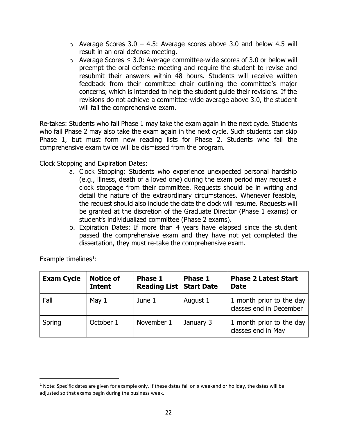- $\circ$  Average Scores 3.0 4.5: Average scores above 3.0 and below 4.5 will result in an oral defense meeting.
- $\circ$  Average Scores ≤ 3.0: Average committee-wide scores of 3.0 or below will preempt the oral defense meeting and require the student to revise and resubmit their answers within 48 hours. Students will receive written feedback from their committee chair outlining the committee's major concerns, which is intended to help the student guide their revisions. If the revisions do not achieve a committee-wide average above 3.0, the student will fail the comprehensive exam.

Re-takes: Students who fail Phase 1 may take the exam again in the next cycle. Students who fail Phase 2 may also take the exam again in the next cycle. Such students can skip Phase 1, but must form new reading lists for Phase 2. Students who fail the comprehensive exam twice will be dismissed from the program.

Clock Stopping and Expiration Dates:

- a. Clock Stopping: Students who experience unexpected personal hardship (e.g., illness, death of a loved one) during the exam period may request a clock stoppage from their committee. Requests should be in writing and detail the nature of the extraordinary circumstances. Whenever feasible, the request should also include the date the clock will resume. Requests will be granted at the discretion of the Graduate Director (Phase 1 exams) or student's individualized committee (Phase 2 exams).
- b. Expiration Dates: If more than 4 years have elapsed since the student passed the comprehensive exam and they have not yet completed the dissertation, they must re-take the comprehensive exam.

| <b>Exam Cycle</b> | <b>Notice of</b><br><b>Intent</b> | Phase 1<br><b>Reading List   Start Date</b> | Phase 1   | <b>Phase 2 Latest Start</b><br><b>Date</b>          |
|-------------------|-----------------------------------|---------------------------------------------|-----------|-----------------------------------------------------|
| Fall              | May 1                             | June 1                                      | August 1  | 1 month prior to the day<br>classes end in December |
| Spring            | October 1                         | November 1                                  | January 3 | 1 month prior to the day<br>classes end in May      |

Example timelines $1$ :

 $1$  Note: Specific dates are given for example only. If these dates fall on a weekend or holiday, the dates will be adjusted so that exams begin during the business week.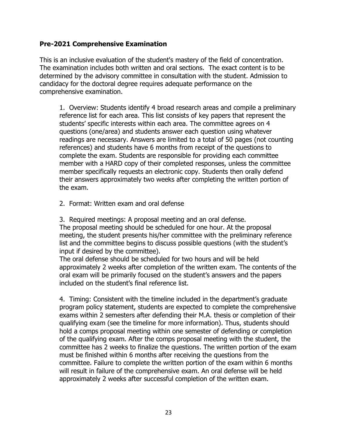#### **Pre-2021 Comprehensive Examination**

This is an inclusive evaluation of the student's mastery of the field of concentration. The examination includes both written and oral sections. The exact content is to be determined by the advisory committee in consultation with the student. Admission to candidacy for the doctoral degree requires adequate performance on the comprehensive examination.

1. Overview: Students identify 4 broad research areas and compile a preliminary reference list for each area. This list consists of key papers that represent the students' specific interests within each area. The committee agrees on 4 questions (one/area) and students answer each question using whatever readings are necessary. Answers are limited to a total of 50 pages (not counting references) and students have 6 months from receipt of the questions to complete the exam. Students are responsible for providing each committee member with a HARD copy of their completed responses, unless the committee member specifically requests an electronic copy. Students then orally defend their answers approximately two weeks after completing the written portion of the exam.

2. Format: Written exam and oral defense

3. Required meetings: A proposal meeting and an oral defense. The proposal meeting should be scheduled for one hour. At the proposal meeting, the student presents his/her committee with the preliminary reference list and the committee begins to discuss possible questions (with the student's input if desired by the committee).

The oral defense should be scheduled for two hours and will be held approximately 2 weeks after completion of the written exam. The contents of the oral exam will be primarily focused on the student's answers and the papers included on the student's final reference list.

4. Timing: Consistent with the timeline included in the department's graduate program policy statement, students are expected to complete the comprehensive exams within 2 semesters after defending their M.A. thesis or completion of their qualifying exam (see the timeline for more information). Thus, students should hold a comps proposal meeting within one semester of defending or completion of the qualifying exam. After the comps proposal meeting with the student, the committee has 2 weeks to finalize the questions. The written portion of the exam must be finished within 6 months after receiving the questions from the committee. Failure to complete the written portion of the exam within 6 months will result in failure of the comprehensive exam. An oral defense will be held approximately 2 weeks after successful completion of the written exam.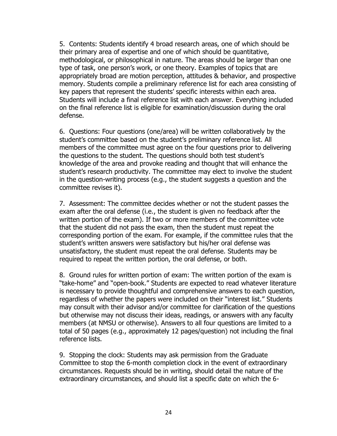5. Contents: Students identify 4 broad research areas, one of which should be their primary area of expertise and one of which should be quantitative, methodological, or philosophical in nature. The areas should be larger than one type of task, one person's work, or one theory. Examples of topics that are appropriately broad are motion perception, attitudes & behavior, and prospective memory. Students compile a preliminary reference list for each area consisting of key papers that represent the students' specific interests within each area. Students will include a final reference list with each answer. Everything included on the final reference list is eligible for examination/discussion during the oral defense.

6. Questions: Four questions (one/area) will be written collaboratively by the student's committee based on the student's preliminary reference list. All members of the committee must agree on the four questions prior to delivering the questions to the student. The questions should both test student's knowledge of the area and provoke reading and thought that will enhance the student's research productivity. The committee may elect to involve the student in the question-writing process (e.g., the student suggests a question and the committee revises it).

7. Assessment: The committee decides whether or not the student passes the exam after the oral defense (i.e., the student is given no feedback after the written portion of the exam). If two or more members of the committee vote that the student did not pass the exam, then the student must repeat the corresponding portion of the exam. For example, if the committee rules that the student's written answers were satisfactory but his/her oral defense was unsatisfactory, the student must repeat the oral defense. Students may be required to repeat the written portion, the oral defense, or both.

8. Ground rules for written portion of exam: The written portion of the exam is "take-home" and "open-book." Students are expected to read whatever literature is necessary to provide thoughtful and comprehensive answers to each question, regardless of whether the papers were included on their "interest list." Students may consult with their advisor and/or committee for clarification of the questions but otherwise may not discuss their ideas, readings, or answers with any faculty members (at NMSU or otherwise). Answers to all four questions are limited to a total of 50 pages (e.g., approximately 12 pages/question) not including the final reference lists.

9. Stopping the clock: Students may ask permission from the Graduate Committee to stop the 6-month completion clock in the event of extraordinary circumstances. Requests should be in writing, should detail the nature of the extraordinary circumstances, and should list a specific date on which the 6-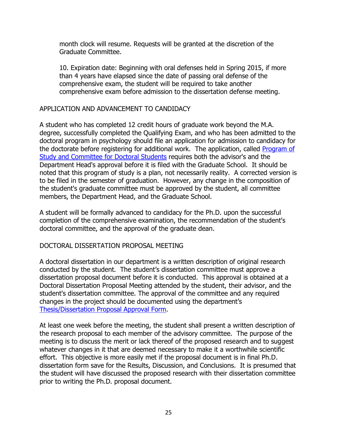month clock will resume. Requests will be granted at the discretion of the Graduate Committee.

10. Expiration date: Beginning with oral defenses held in Spring 2015, if more than 4 years have elapsed since the date of passing oral defense of the comprehensive exam, the student will be required to take another comprehensive exam before admission to the dissertation defense meeting.

#### <span id="page-24-0"></span>APPLICATION AND ADVANCEMENT TO CANDIDACY

A student who has completed 12 credit hours of graduate work beyond the M.A. degree, successfully completed the Qualifying Exam, and who has been admitted to the doctoral program in psychology should file an application for admission to candidacy for the doctorate before registering for additional work. The application, called Program of [Study and Committee](https://gradschool.nmsu.edu/For%20Faculty%20and%20Staff/Graduate%20Forms.html) for Doctoral Students requires both the advisor's and the Department Head's approval before it is filed with the Graduate School. It should be noted that this program of study is a plan, not necessarily reality. A corrected version is to be filed in the semester of graduation. However, any change in the composition of the student's graduate committee must be approved by the student, all committee members, the Department Head, and the Graduate School.

A student will be formally advanced to candidacy for the Ph.D. upon the successful completion of the comprehensive examination, the recommendation of the student's doctoral committee, and the approval of the graduate dean.

#### <span id="page-24-1"></span>DOCTORAL DISSERTATION PROPOSAL MEETING

A doctoral dissertation in our department is a written description of original research conducted by the student. The student's dissertation committee must approve a dissertation proposal document before it is conducted. This approval is obtained at a Doctoral Dissertation Proposal Meeting attended by the student, their advisor, and the student's dissertation committee. The approval of the committee and any required changes in the project should be documented using the department's [Thesis/Dissertation Proposal Approval Form.](https://psychology.nmsu.edu/pages/student-resources.html)

At least one week before the meeting, the student shall present a written description of the research proposal to each member of the advisory committee. The purpose of the meeting is to discuss the merit or lack thereof of the proposed research and to suggest whatever changes in it that are deemed necessary to make it a worthwhile scientific effort. This objective is more easily met if the proposal document is in final Ph.D. dissertation form save for the Results, Discussion, and Conclusions. It is presumed that the student will have discussed the proposed research with their dissertation committee prior to writing the Ph.D. proposal document.